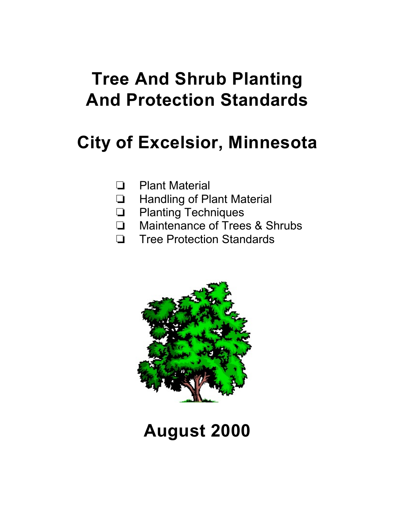# **Tree And Shrub Planting And Protection Standards**

# **City of Excelsior, Minnesota**

- **D** Plant Material
- **Handling of Plant Material**
- **Q** Planting Techniques
- □ Maintenance of Trees & Shrubs
- **T** Tree Protection Standards



# **August 2000**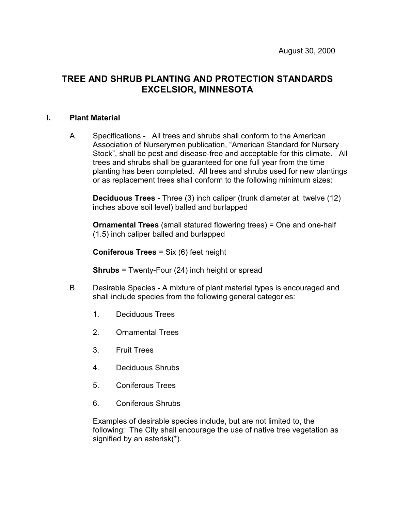# **TREE AND SHRUB PLANTING AND PROTECTION STANDARDS EXCELSIOR, MINNESOTA**

#### **I. Plant Material**

A. Specifications - All trees and shrubs shall conform to the American Association of Nurserymen publication, "American Standard for Nursery Stock", shall be pest and disease-free and acceptable for this climate. All trees and shrubs shall be guaranteed for one full year from the time planting has been completed. All trees and shrubs used for new plantings or as replacement trees shall conform to the following minimum sizes:

**Deciduous Trees** - Three (3) inch caliper (trunk diameter at twelve (12) inches above soil level) balled and burlapped

**Ornamental Trees** (small statured flowering trees) = One and one-half (1.5) inch caliper balled and burlapped

**Coniferous Trees** = Six (6) feet height

**Shrubs** = Twenty-Four (24) inch height or spread

- B. Desirable Species A mixture of plant material types is encouraged and shall include species from the following general categories:
	- 1. Deciduous Trees
	- 2. Ornamental Trees
	- 3. Fruit Trees
	- 4. Deciduous Shrubs
	- 5. Coniferous Trees
	- 6. Coniferous Shrubs

Examples of desirable species include, but are not limited to, the following: The City shall encourage the use of native tree vegetation as signified by an asterisk(\*).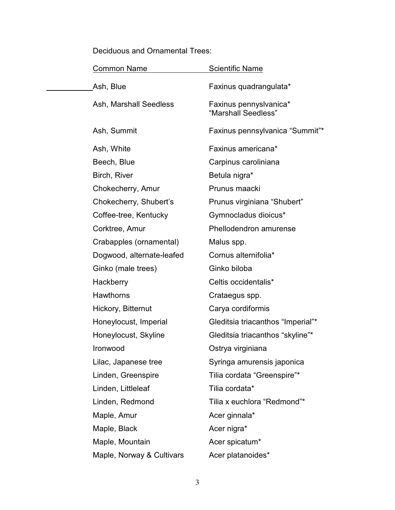Deciduous and Ornamental Trees:

÷.

| <b>Common Name</b>        | <b>Scientific Name</b>                        |
|---------------------------|-----------------------------------------------|
| Ash, Blue                 | Faxinus quadrangulata*                        |
| Ash, Marshall Seedless    | Faxinus pennyslvanica*<br>"Marshall Seedless" |
| Ash, Summit               | Faxinus pennsylvanica "Summit"*               |
| Ash, White                | Faxinus americana*                            |
| Beech, Blue               | Carpinus caroliniana                          |
| Birch, River              | Betula nigra*                                 |
| Chokecherry, Amur         | Prunus maacki                                 |
| Chokecherry, Shubert's    | Prunus virginiana "Shubert"                   |
| Coffee-tree, Kentucky     | Gymnocladus dioicus*                          |
| Corktree, Amur            | Phellodendron amurense                        |
| Crabapples (ornamental)   | Malus spp.                                    |
| Dogwood, alternate-leafed | Cornus alternifolia*                          |
| Ginko (male trees)        | Ginko biloba                                  |
| Hackberry                 | Celtis occidentalis*                          |
| <b>Hawthorns</b>          | Crataegus spp.                                |
| Hickory, Bitternut        | Carya cordiformis                             |
| Honeylocust, Imperial     | Gleditsia triacanthos "Imperial"*             |
| Honeylocust, Skyline      | Gleditsia triacanthos "skyline"*              |
| Ironwood                  | Ostrya virginiana                             |
| Lilac, Japanese tree      | Syringa amurensis japonica                    |
| Linden, Greenspire        | Tilia cordata "Greenspire"*                   |
| Linden, Littleleaf        | Tilia cordata*                                |
| Linden, Redmond           | Tilia x euchlora "Redmond"*                   |
| Maple, Amur               | Acer ginnala*                                 |
| Maple, Black              | Acer nigra*                                   |
| Maple, Mountain           | Acer spicatum*                                |
| Maple, Norway & Cultivars | Acer platanoides*                             |
|                           |                                               |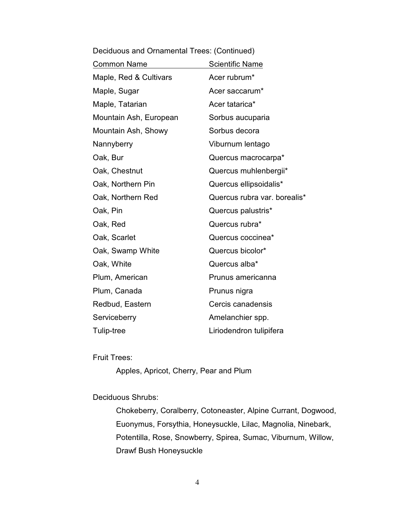| <b>Common Name</b>     | <b>Scientific Name</b>       |
|------------------------|------------------------------|
| Maple, Red & Cultivars | Acer rubrum*                 |
| Maple, Sugar           | Acer saccarum*               |
| Maple, Tatarian        | Acer tatarica*               |
| Mountain Ash, European | Sorbus aucuparia             |
| Mountain Ash, Showy    | Sorbus decora                |
| Nannyberry             | Viburnum lentago             |
| Oak, Bur               | Quercus macrocarpa*          |
| Oak, Chestnut          | Quercus muhlenbergii*        |
| Oak, Northern Pin      | Quercus ellipsoidalis*       |
| Oak, Northern Red      | Quercus rubra var. borealis* |
| Oak, Pin               | Quercus palustris*           |
| Oak, Red               | Quercus rubra*               |
| Oak, Scarlet           | Quercus coccinea*            |
| Oak, Swamp White       | Quercus bicolor*             |
| Oak, White             | Quercus alba*                |
| Plum, American         | Prunus americanna            |
| Plum, Canada           | Prunus nigra                 |
| Redbud, Eastern        | Cercis canadensis            |
| Serviceberry           | Amelanchier spp.             |
| Tulip-tree             | Liriodendron tulipifera      |
|                        |                              |

Deciduous and Ornamental Trees: (Continued)

#### Fruit Trees:

Apples, Apricot, Cherry, Pear and Plum

#### Deciduous Shrubs:

Chokeberry, Coralberry, Cotoneaster, Alpine Currant, Dogwood, Euonymus, Forsythia, Honeysuckle, Lilac, Magnolia, Ninebark, Potentilla, Rose, Snowberry, Spirea, Sumac, Viburnum, Willow, Drawf Bush Honeysuckle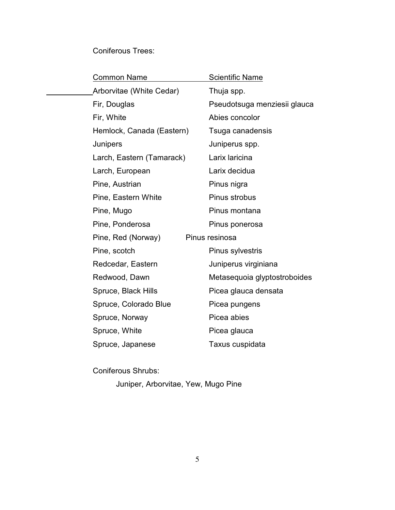## Coniferous Trees:

| <b>Common Name</b>        | Scientific Name              |
|---------------------------|------------------------------|
| Arborvitae (White Cedar)  | Thuja spp.                   |
| Fir, Douglas              | Pseudotsuga menziesii glauca |
| Fir, White                | Abies concolor               |
| Hemlock, Canada (Eastern) | Tsuga canadensis             |
| Junipers                  | Juniperus spp.               |
| Larch, Eastern (Tamarack) | Larix laricina               |
| Larch, European           | Larix decidua                |
| Pine, Austrian            | Pinus nigra                  |
| Pine, Eastern White       | Pinus strobus                |
| Pine, Mugo                | Pinus montana                |
| Pine, Ponderosa           | Pinus ponerosa               |
| Pine, Red (Norway)        | Pinus resinosa               |
| Pine, scotch              | Pinus sylvestris             |
| Redcedar, Eastern         | Juniperus virginiana         |
| Redwood, Dawn             | Metasequoia glyptostroboides |
| Spruce, Black Hills       | Picea glauca densata         |
| Spruce, Colorado Blue     | Picea pungens                |
| Spruce, Norway            | Picea abies                  |
| Spruce, White             | Picea glauca                 |
| Spruce, Japanese          | Taxus cuspidata              |

Coniferous Shrubs:

Juniper, Arborvitae, Yew, Mugo Pine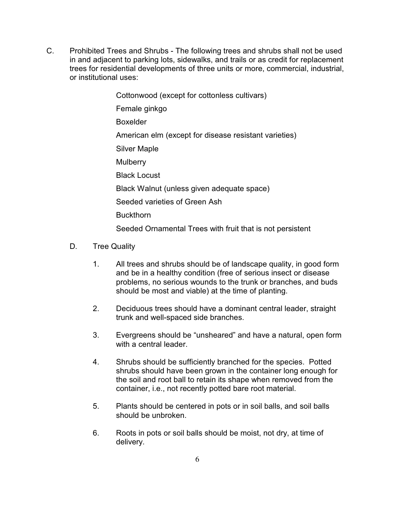C. Prohibited Trees and Shrubs - The following trees and shrubs shall not be used in and adjacent to parking lots, sidewalks, and trails or as credit for replacement trees for residential developments of three units or more, commercial, industrial, or institutional uses:

> Cottonwood (except for cottonless cultivars) Female ginkgo Boxelder American elm (except for disease resistant varieties) Silver Maple **Mulberry** Black Locust Black Walnut (unless given adequate space) Seeded varieties of Green Ash **Buckthorn** Seeded Ornamental Trees with fruit that is not persistent

- D. Tree Quality
	- 1. All trees and shrubs should be of landscape quality, in good form and be in a healthy condition (free of serious insect or disease problems, no serious wounds to the trunk or branches, and buds should be most and viable) at the time of planting.
	- 2. Deciduous trees should have a dominant central leader, straight trunk and well-spaced side branches.
	- 3. Evergreens should be "unsheared" and have a natural, open form with a central leader.
	- 4. Shrubs should be sufficiently branched for the species. Potted shrubs should have been grown in the container long enough for the soil and root ball to retain its shape when removed from the container, i.e., not recently potted bare root material.
	- 5. Plants should be centered in pots or in soil balls, and soil balls should be unbroken.
	- 6. Roots in pots or soil balls should be moist, not dry, at time of delivery.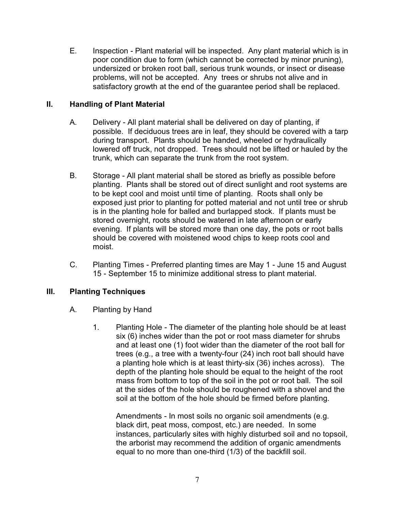E. Inspection - Plant material will be inspected. Any plant material which is in poor condition due to form (which cannot be corrected by minor pruning), undersized or broken root ball, serious trunk wounds, or insect or disease problems, will not be accepted. Any trees or shrubs not alive and in satisfactory growth at the end of the guarantee period shall be replaced.

## **II. Handling of Plant Material**

- A. Delivery All plant material shall be delivered on day of planting, if possible. If deciduous trees are in leaf, they should be covered with a tarp during transport. Plants should be handed, wheeled or hydraulically lowered off truck, not dropped. Trees should not be lifted or hauled by the trunk, which can separate the trunk from the root system.
- B. Storage All plant material shall be stored as briefly as possible before planting. Plants shall be stored out of direct sunlight and root systems are to be kept cool and moist until time of planting. Roots shall only be exposed just prior to planting for potted material and not until tree or shrub is in the planting hole for balled and burlapped stock. If plants must be stored overnight, roots should be watered in late afternoon or early evening. If plants will be stored more than one day, the pots or root balls should be covered with moistened wood chips to keep roots cool and moist.
- C. Planting Times Preferred planting times are May 1 June 15 and August 15 - September 15 to minimize additional stress to plant material.

## **III. Planting Techniques**

- A. Planting by Hand
	- 1. Planting Hole The diameter of the planting hole should be at least six (6) inches wider than the pot or root mass diameter for shrubs and at least one (1) foot wider than the diameter of the root ball for trees (e.g., a tree with a twenty-four (24) inch root ball should have a planting hole which is at least thirty-six (36) inches across). The depth of the planting hole should be equal to the height of the root mass from bottom to top of the soil in the pot or root ball. The soil at the sides of the hole should be roughened with a shovel and the soil at the bottom of the hole should be firmed before planting.

Amendments - In most soils no organic soil amendments (e.g. black dirt, peat moss, compost, etc.) are needed. In some instances, particularly sites with highly disturbed soil and no topsoil, the arborist may recommend the addition of organic amendments equal to no more than one-third (1/3) of the backfill soil.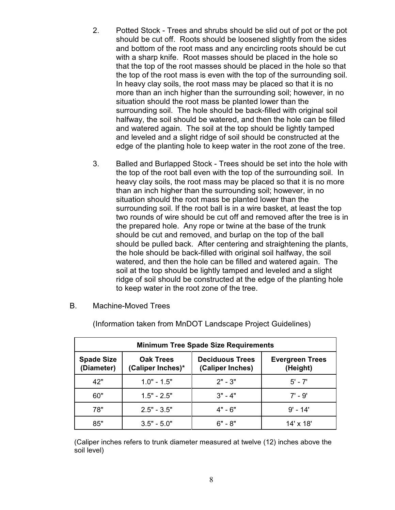- 2. Potted Stock Trees and shrubs should be slid out of pot or the pot should be cut off. Roots should be loosened slightly from the sides and bottom of the root mass and any encircling roots should be cut with a sharp knife. Root masses should be placed in the hole so that the top of the root masses should be placed in the hole so that the top of the root mass is even with the top of the surrounding soil. In heavy clay soils, the root mass may be placed so that it is no more than an inch higher than the surrounding soil; however, in no situation should the root mass be planted lower than the surrounding soil. The hole should be back-filled with original soil halfway, the soil should be watered, and then the hole can be filled and watered again. The soil at the top should be lightly tamped and leveled and a slight ridge of soil should be constructed at the edge of the planting hole to keep water in the root zone of the tree.
- 3. Balled and Burlapped Stock Trees should be set into the hole with the top of the root ball even with the top of the surrounding soil. In heavy clay soils, the root mass may be placed so that it is no more than an inch higher than the surrounding soil; however, in no situation should the root mass be planted lower than the surrounding soil. If the root ball is in a wire basket, at least the top two rounds of wire should be cut off and removed after the tree is in the prepared hole. Any rope or twine at the base of the trunk should be cut and removed, and burlap on the top of the ball should be pulled back. After centering and straightening the plants, the hole should be back-filled with original soil halfway, the soil watered, and then the hole can be filled and watered again. The soil at the top should be lightly tamped and leveled and a slight ridge of soil should be constructed at the edge of the planting hole to keep water in the root zone of the tree.
- B. Machine-Moved Trees

| <b>Minimum Tree Spade Size Requirements</b> |                                       |                                            |                                    |  |  |  |  |
|---------------------------------------------|---------------------------------------|--------------------------------------------|------------------------------------|--|--|--|--|
| <b>Spade Size</b><br>(Diameter)             | <b>Oak Trees</b><br>(Caliper Inches)* | <b>Deciduous Trees</b><br>(Caliper Inches) | <b>Evergreen Trees</b><br>(Height) |  |  |  |  |
| 42"                                         | $1.0" - 1.5"$                         | $2" - 3"$                                  | $5' - 7'$                          |  |  |  |  |
| 60"                                         | $1.5" - 2.5"$                         | $3" - 4"$                                  | $7' - 9'$                          |  |  |  |  |
| 78"                                         | $2.5" - 3.5"$                         | $4" - 6"$                                  | $9' - 14'$                         |  |  |  |  |
| 85"                                         | $3.5" - 5.0"$                         | 6" - 8"                                    | $14' \times 18'$                   |  |  |  |  |

(Information taken from MnDOT Landscape Project Guidelines)

(Caliper inches refers to trunk diameter measured at twelve (12) inches above the soil level)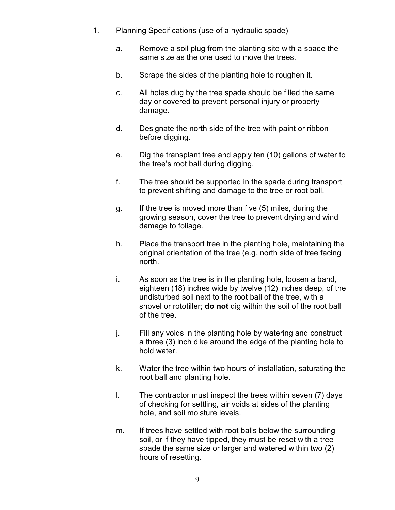- 1. Planning Specifications (use of a hydraulic spade)
	- a. Remove a soil plug from the planting site with a spade the same size as the one used to move the trees.
	- b. Scrape the sides of the planting hole to roughen it.
	- c. All holes dug by the tree spade should be filled the same day or covered to prevent personal injury or property damage.
	- d. Designate the north side of the tree with paint or ribbon before digging.
	- e. Dig the transplant tree and apply ten (10) gallons of water to the tree's root ball during digging.
	- f. The tree should be supported in the spade during transport to prevent shifting and damage to the tree or root ball.
	- g. If the tree is moved more than five (5) miles, during the growing season, cover the tree to prevent drying and wind damage to foliage.
	- h. Place the transport tree in the planting hole, maintaining the original orientation of the tree (e.g. north side of tree facing north.
	- i. As soon as the tree is in the planting hole, loosen a band, eighteen (18) inches wide by twelve (12) inches deep, of the undisturbed soil next to the root ball of the tree, with a shovel or rototiller; **do not** dig within the soil of the root ball of the tree.
	- j. Fill any voids in the planting hole by watering and construct a three (3) inch dike around the edge of the planting hole to hold water.
	- k. Water the tree within two hours of installation, saturating the root ball and planting hole.
	- l. The contractor must inspect the trees within seven (7) days of checking for settling, air voids at sides of the planting hole, and soil moisture levels.
	- m. If trees have settled with root balls below the surrounding soil, or if they have tipped, they must be reset with a tree spade the same size or larger and watered within two (2) hours of resetting.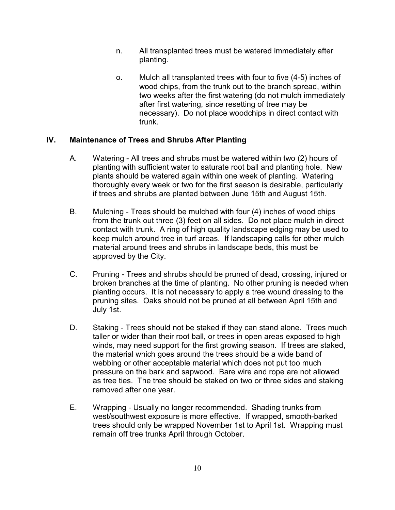- n. All transplanted trees must be watered immediately after planting.
- o. Mulch all transplanted trees with four to five (4-5) inches of wood chips, from the trunk out to the branch spread, within two weeks after the first watering (do not mulch immediately after first watering, since resetting of tree may be necessary). Do not place woodchips in direct contact with trunk.

### **IV. Maintenance of Trees and Shrubs After Planting**

- A. Watering All trees and shrubs must be watered within two (2) hours of planting with sufficient water to saturate root ball and planting hole. New plants should be watered again within one week of planting. Watering thoroughly every week or two for the first season is desirable, particularly if trees and shrubs are planted between June 15th and August 15th.
- B. Mulching Trees should be mulched with four (4) inches of wood chips from the trunk out three (3) feet on all sides. Do not place mulch in direct contact with trunk. A ring of high quality landscape edging may be used to keep mulch around tree in turf areas. If landscaping calls for other mulch material around trees and shrubs in landscape beds, this must be approved by the City.
- C. Pruning Trees and shrubs should be pruned of dead, crossing, injured or broken branches at the time of planting. No other pruning is needed when planting occurs. It is not necessary to apply a tree wound dressing to the pruning sites. Oaks should not be pruned at all between April 15th and July 1st.
- D. Staking Trees should not be staked if they can stand alone. Trees much taller or wider than their root ball, or trees in open areas exposed to high winds, may need support for the first growing season. If trees are staked, the material which goes around the trees should be a wide band of webbing or other acceptable material which does not put too much pressure on the bark and sapwood. Bare wire and rope are not allowed as tree ties. The tree should be staked on two or three sides and staking removed after one year.
- E. Wrapping Usually no longer recommended. Shading trunks from west/southwest exposure is more effective. If wrapped, smooth-barked trees should only be wrapped November 1st to April 1st. Wrapping must remain off tree trunks April through October.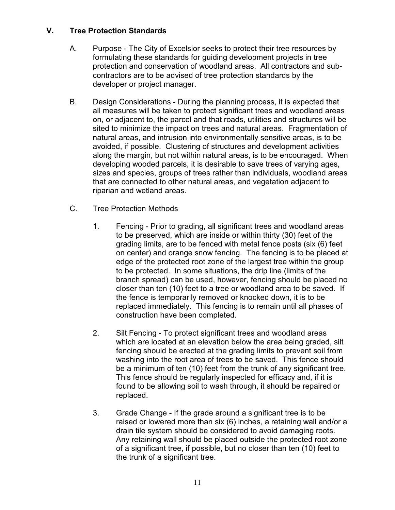### **V. Tree Protection Standards**

- A. Purpose The City of Excelsior seeks to protect their tree resources by formulating these standards for guiding development projects in tree protection and conservation of woodland areas. All contractors and subcontractors are to be advised of tree protection standards by the developer or project manager.
- B. Design Considerations During the planning process, it is expected that all measures will be taken to protect significant trees and woodland areas on, or adjacent to, the parcel and that roads, utilities and structures will be sited to minimize the impact on trees and natural areas. Fragmentation of natural areas, and intrusion into environmentally sensitive areas, is to be avoided, if possible. Clustering of structures and development activities along the margin, but not within natural areas, is to be encouraged. When developing wooded parcels, it is desirable to save trees of varying ages, sizes and species, groups of trees rather than individuals, woodland areas that are connected to other natural areas, and vegetation adjacent to riparian and wetland areas.
- C. Tree Protection Methods
	- 1. Fencing Prior to grading, all significant trees and woodland areas to be preserved, which are inside or within thirty (30) feet of the grading limits, are to be fenced with metal fence posts (six (6) feet on center) and orange snow fencing. The fencing is to be placed at edge of the protected root zone of the largest tree within the group to be protected. In some situations, the drip line (limits of the branch spread) can be used, however, fencing should be placed no closer than ten (10) feet to a tree or woodland area to be saved. If the fence is temporarily removed or knocked down, it is to be replaced immediately. This fencing is to remain until all phases of construction have been completed.
	- 2. Silt Fencing To protect significant trees and woodland areas which are located at an elevation below the area being graded, silt fencing should be erected at the grading limits to prevent soil from washing into the root area of trees to be saved. This fence should be a minimum of ten (10) feet from the trunk of any significant tree. This fence should be regularly inspected for efficacy and, if it is found to be allowing soil to wash through, it should be repaired or replaced.
	- 3. Grade Change If the grade around a significant tree is to be raised or lowered more than six (6) inches, a retaining wall and/or a drain tile system should be considered to avoid damaging roots. Any retaining wall should be placed outside the protected root zone of a significant tree, if possible, but no closer than ten (10) feet to the trunk of a significant tree.